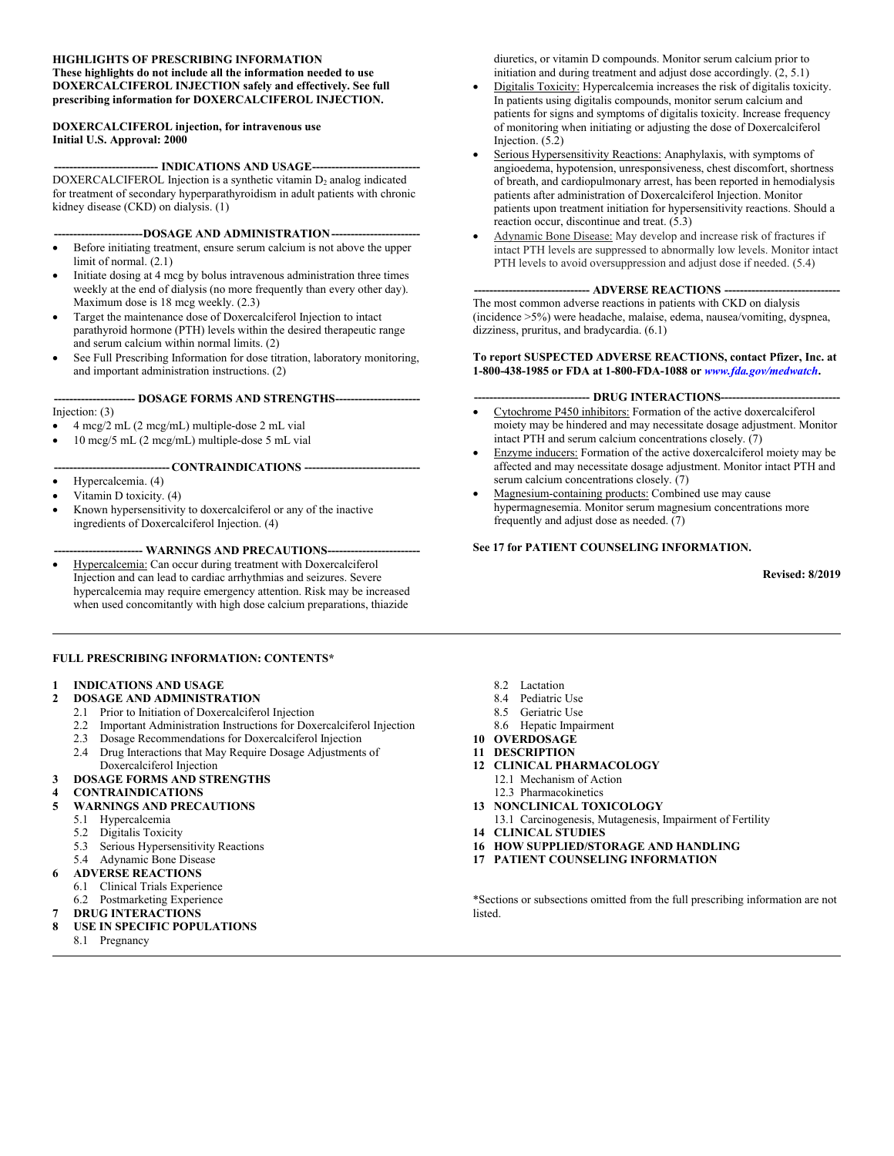#### **HIGHLIGHTS OF PRESCRIBING INFORMATION These highlights do not include all the information needed to use DOXERCALCIFEROL INJECTION safely and effectively. See full prescribing information for DOXERCALCIFEROL INJECTION.**

#### **DOXERCALCIFEROL injection, for intravenous use Initial U.S. Approval: 2000**

-- **INDICATIONS AND USAGE---**DOXERCALCIFEROL Injection is a synthetic vitamin  $D_2$  analog indicated for treatment of secondary hyperparathyroidism in adult patients with chronic kidney disease (CKD) on dialysis. (1)

---DOSAGE AND ADMINISTRATION----

- Before initiating treatment, ensure serum calcium is not above the upper limit of normal. (2.1)
- Initiate dosing at 4 mcg by bolus intravenous administration three times weekly at the end of dialysis (no more frequently than every other day). Maximum dose is 18 mcg weekly. (2.3)
- Target the maintenance dose of Doxercalciferol Injection to intact parathyroid hormone (PTH) levels within the desired therapeutic range and serum calcium within normal limits. (2)
- See Full Prescribing Information for dose titration, laboratory monitoring, and important administration instructions. (2)

#### **--------------------- DOSAGE FORMS AND STRENGTHS----------------------** Injection: (3)

- 4 mcg/2 mL (2 mcg/mL) multiple-dose 2 mL vial
- 10 mcg/5 mL (2 mcg/mL) multiple-dose 5 mL vial

#### **------------------------------ CONTRAINDICATIONS ------------------------------**

- Hypercalcemia. (4)
- Vitamin D toxicity. (4)
- Known hypersensitivity to doxercalciferol or any of the inactive ingredients of Doxercalciferol Injection. (4)

#### --- WARNINGS AND PRECAUTIONS---

 Hypercalcemia: Can occur during treatment with Doxercalciferol Injection and can lead to cardiac arrhythmias and seizures. Severe hypercalcemia may require emergency attention. Risk may be increased when used concomitantly with high dose calcium preparations, thiazide

#### **FULL PRESCRIBING INFORMATION: CONTENTS\***

#### **1 INDICATIONS AND USAGE**

- **2 DOSAGE AND ADMINISTRATION**
	- 2.1 Prior to Initiation of Doxercalciferol Injection
	- 2.2 Important Administration Instructions for Doxercalciferol Injection
	- 2.3 Dosage Recommendations for Doxercalciferol Injection
	- 2.4 Drug Interactions that May Require Dosage Adjustments of Doxercalciferol Injection
- **3 DOSAGE FORMS AND STRENGTHS**
- **4 CONTRAINDICATIONS**
- **5 WARNINGS AND PRECAUTIONS**
	- 5.1 Hypercalcemia<br>5.2 Digitalis Toxici
	- Digitalis Toxicity
	- 5.3 Serious Hypersensitivity Reactions
	- 5.4 Adynamic Bone Disease
- **6 ADVERSE REACTIONS**
	- 6.1 Clinical Trials Experience
	- 6.2 Postmarketing Experience
	- **7 DRUG INTERACTIONS**
- **8 USE IN SPECIFIC POPULATIONS**
	- 8.1 Pregnancy

diuretics, or vitamin D compounds. Monitor serum calcium prior to initiation and during treatment and adjust dose accordingly. (2, 5.1)

- Digitalis Toxicity: Hypercalcemia increases the risk of digitalis toxicity. In patients using digitalis compounds, monitor serum calcium and patients for signs and symptoms of digitalis toxicity. Increase frequency of monitoring when initiating or adjusting the dose of Doxercalciferol Injection. (5.2)
- Serious Hypersensitivity Reactions: Anaphylaxis, with symptoms of angioedema, hypotension, unresponsiveness, chest discomfort, shortness of breath, and cardiopulmonary arrest, has been reported in hemodialysis patients after administration of Doxercalciferol Injection. Monitor patients upon treatment initiation for hypersensitivity reactions. Should a reaction occur, discontinue and treat. (5.3)
- Adynamic Bone Disease: May develop and increase risk of fractures if intact PTH levels are suppressed to abnormally low levels. Monitor intact PTH levels to avoid oversuppression and adjust dose if needed. (5.4)

#### **------------------------------ ADVERSE REACTIONS ------------------------------**

The most common adverse reactions in patients with CKD on dialysis (incidence >5%) were headache, malaise, edema, nausea/vomiting, dyspnea, dizziness, pruritus, and bradycardia. (6.1)

#### **To report SUSPECTED ADVERSE REACTIONS, contact Pfizer, Inc. at 1-800-438-1985 or FDA at 1-800-FDA-1088 or** *[www.fda.gov/medwatch](http://www.fda.gov/medwatch)***.**

#### -- **DRUG INTERACTIONS---**

- Cytochrome P450 inhibitors: Formation of the active doxercalciferol moiety may be hindered and may necessitate dosage adjustment. Monitor intact PTH and serum calcium concentrations closely. (7)
- Enzyme inducers: Formation of the active doxercalciferol moiety may be affected and may necessitate dosage adjustment. Monitor intact PTH and serum calcium concentrations closely. (7)
- Magnesium-containing products: Combined use may cause hypermagnesemia. Monitor serum magnesium concentrations more frequently and adjust dose as needed. (7)

#### **See 17 for PATIENT COUNSELING INFORMATION.**

**Revised: 8/2019**

- 8.2 Lactation
- 8.4 Pediatric Use
- 8.5 Geriatric Use
- 8.6 Hepatic Impairment
- **10 OVERDOSAGE**
- **11 DESCRIPTION**
- **12 CLINICAL PHARMACOLOGY**
	- 12.1 Mechanism of Action
	- 12.3 Pharmacokinetics
- **13 NONCLINICAL TOXICOLOGY**
- 13.1 Carcinogenesis, Mutagenesis, Impairment of Fertility
- **14 CLINICAL STUDIES**
- **16 HOW SUPPLIED/STORAGE AND HANDLING**
- **17 PATIENT COUNSELING INFORMATION**

\*Sections or subsections omitted from the full prescribing information are not **listed**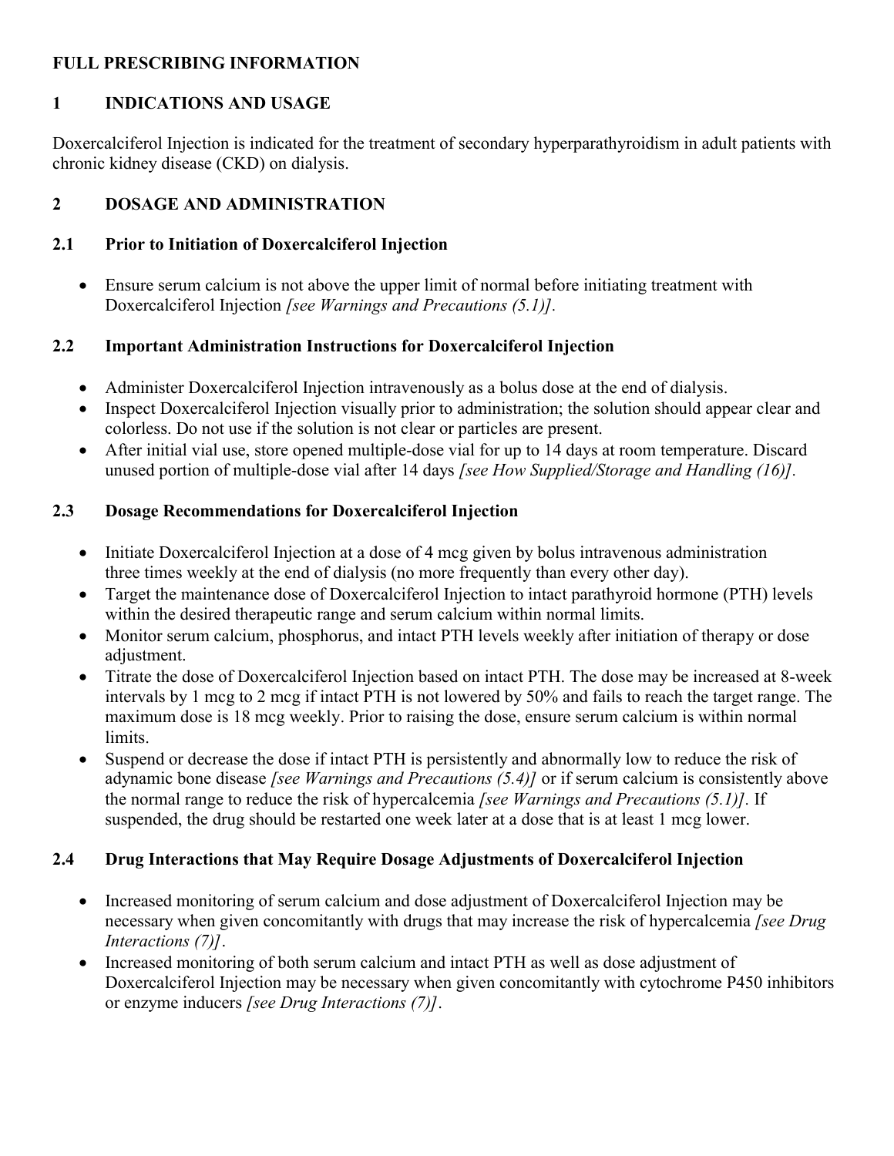### **FULL PRESCRIBING INFORMATION**

#### **1 INDICATIONS AND USAGE**

Doxercalciferol Injection is indicated for the treatment of secondary hyperparathyroidism in adult patients with chronic kidney disease (CKD) on dialysis.

#### **2 DOSAGE AND ADMINISTRATION**

#### **2.1 Prior to Initiation of Doxercalciferol Injection**

 Ensure serum calcium is not above the upper limit of normal before initiating treatment with Doxercalciferol Injection *[see Warnings and Precautions (5.1)].*

#### **2.2 Important Administration Instructions for Doxercalciferol Injection**

- Administer Doxercalciferol Injection intravenously as a bolus dose at the end of dialysis.
- Inspect Doxercalciferol Injection visually prior to administration; the solution should appear clear and colorless. Do not use if the solution is not clear or particles are present.
- After initial vial use, store opened multiple-dose vial for up to 14 days at room temperature. Discard unused portion of multiple-dose vial after 14 days *[see How Supplied/Storage and Handling (16)].*

#### **2.3 Dosage Recommendations for Doxercalciferol Injection**

- Initiate Doxercalciferol Injection at a dose of 4 mcg given by bolus intravenous administration three times weekly at the end of dialysis (no more frequently than every other day).
- Target the maintenance dose of Doxercalciferol Injection to intact parathyroid hormone (PTH) levels within the desired therapeutic range and serum calcium within normal limits.
- Monitor serum calcium, phosphorus, and intact PTH levels weekly after initiation of therapy or dose adjustment.
- Titrate the dose of Doxercalciferol Injection based on intact PTH. The dose may be increased at 8-week intervals by 1 mcg to 2 mcg if intact PTH is not lowered by 50% and fails to reach the target range. The maximum dose is 18 mcg weekly. Prior to raising the dose, ensure serum calcium is within normal limits.
- Suspend or decrease the dose if intact PTH is persistently and abnormally low to reduce the risk of adynamic bone disease *[see Warnings and Precautions (5.4)]* or if serum calcium is consistently above the normal range to reduce the risk of hypercalcemia *[see Warnings and Precautions (5.1)].* If suspended, the drug should be restarted one week later at a dose that is at least 1 mcg lower.

### **2.4 Drug Interactions that May Require Dosage Adjustments of Doxercalciferol Injection**

- Increased monitoring of serum calcium and dose adjustment of Doxercalciferol Injection may be necessary when given concomitantly with drugs that may increase the risk of hypercalcemia *[see Drug Interactions (7)]*.
- Increased monitoring of both serum calcium and intact PTH as well as dose adjustment of Doxercalciferol Injection may be necessary when given concomitantly with cytochrome P450 inhibitors or enzyme inducers *[see Drug Interactions (7)]*.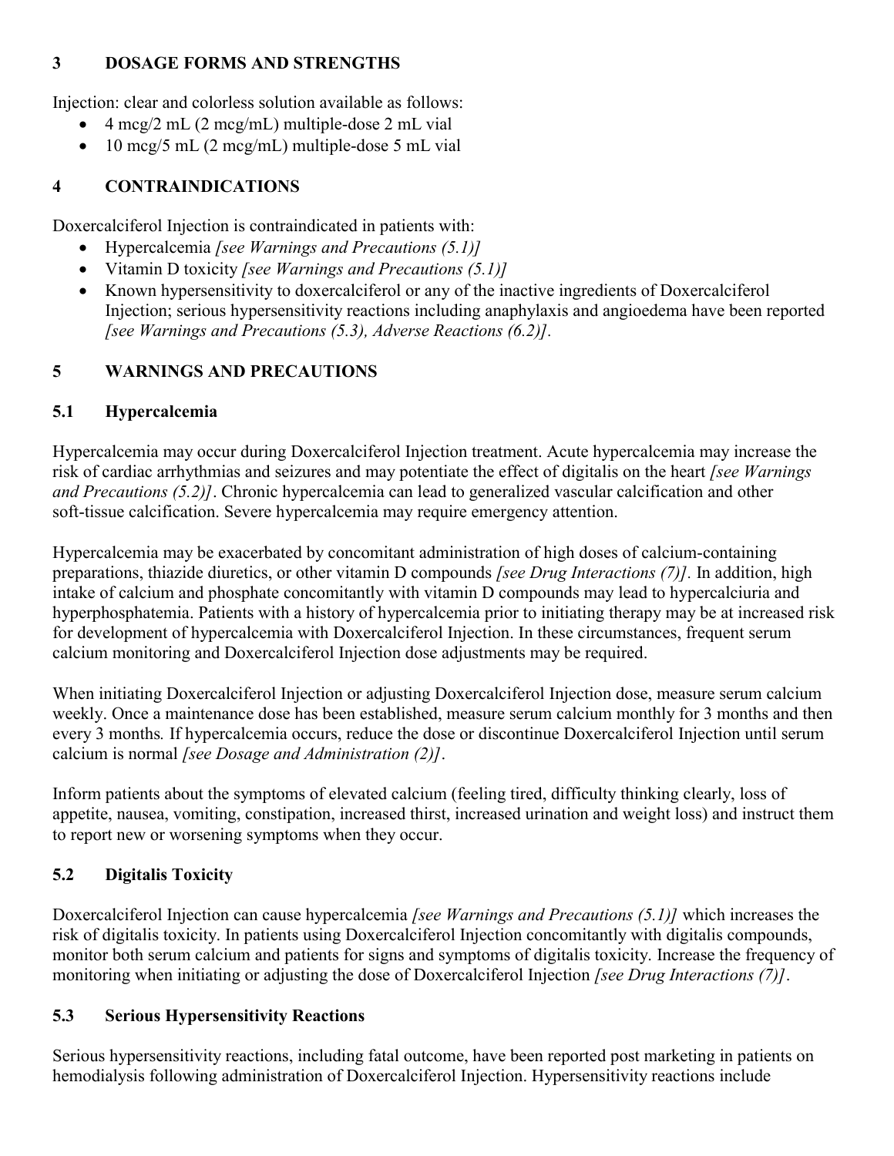### **3 DOSAGE FORMS AND STRENGTHS**

Injection: clear and colorless solution available as follows:

- 4 mcg/2 mL (2 mcg/mL) multiple-dose 2 mL vial
- $\bullet$  10 mcg/5 mL (2 mcg/mL) multiple-dose 5 mL vial

# **4 CONTRAINDICATIONS**

Doxercalciferol Injection is contraindicated in patients with:

- Hypercalcemia *[see Warnings and Precautions (5.1)]*
- Vitamin D toxicity *[see Warnings and Precautions (5.1)]*
- Known hypersensitivity to doxercalciferol or any of the inactive ingredients of Doxercalciferol Injection; serious hypersensitivity reactions including anaphylaxis and angioedema have been reported *[see Warnings and Precautions (5.3), Adverse Reactions (6.2)].*

# **5 WARNINGS AND PRECAUTIONS**

# **5.1 Hypercalcemia**

Hypercalcemia may occur during Doxercalciferol Injection treatment. Acute hypercalcemia may increase the risk of cardiac arrhythmias and seizures and may potentiate the effect of digitalis on the heart *[see Warnings and Precautions (5.2)]*. Chronic hypercalcemia can lead to generalized vascular calcification and other soft-tissue calcification. Severe hypercalcemia may require emergency attention.

Hypercalcemia may be exacerbated by concomitant administration of high doses of calcium-containing preparations, thiazide diuretics, or other vitamin D compounds *[see Drug Interactions (7)].* In addition, high intake of calcium and phosphate concomitantly with vitamin D compounds may lead to hypercalciuria and hyperphosphatemia. Patients with a history of hypercalcemia prior to initiating therapy may be at increased risk for development of hypercalcemia with Doxercalciferol Injection. In these circumstances, frequent serum calcium monitoring and Doxercalciferol Injection dose adjustments may be required.

When initiating Doxercalciferol Injection or adjusting Doxercalciferol Injection dose, measure serum calcium weekly. Once a maintenance dose has been established, measure serum calcium monthly for 3 months and then every 3 months*.* If hypercalcemia occurs, reduce the dose or discontinue Doxercalciferol Injection until serum calcium is normal *[see Dosage and Administration (2)]*.

Inform patients about the symptoms of elevated calcium (feeling tired, difficulty thinking clearly, loss of appetite, nausea, vomiting, constipation, increased thirst, increased urination and weight loss) and instruct them to report new or worsening symptoms when they occur.

# **5.2 Digitalis Toxicity**

Doxercalciferol Injection can cause hypercalcemia *[see Warnings and Precautions (5.1)]* which increases the risk of digitalis toxicity. In patients using Doxercalciferol Injection concomitantly with digitalis compounds, monitor both serum calcium and patients for signs and symptoms of digitalis toxicity. Increase the frequency of monitoring when initiating or adjusting the dose of Doxercalciferol Injection *[see Drug Interactions (7)]*.

# **5.3 Serious Hypersensitivity Reactions**

Serious hypersensitivity reactions, including fatal outcome, have been reported post marketing in patients on hemodialysis following administration of Doxercalciferol Injection. Hypersensitivity reactions include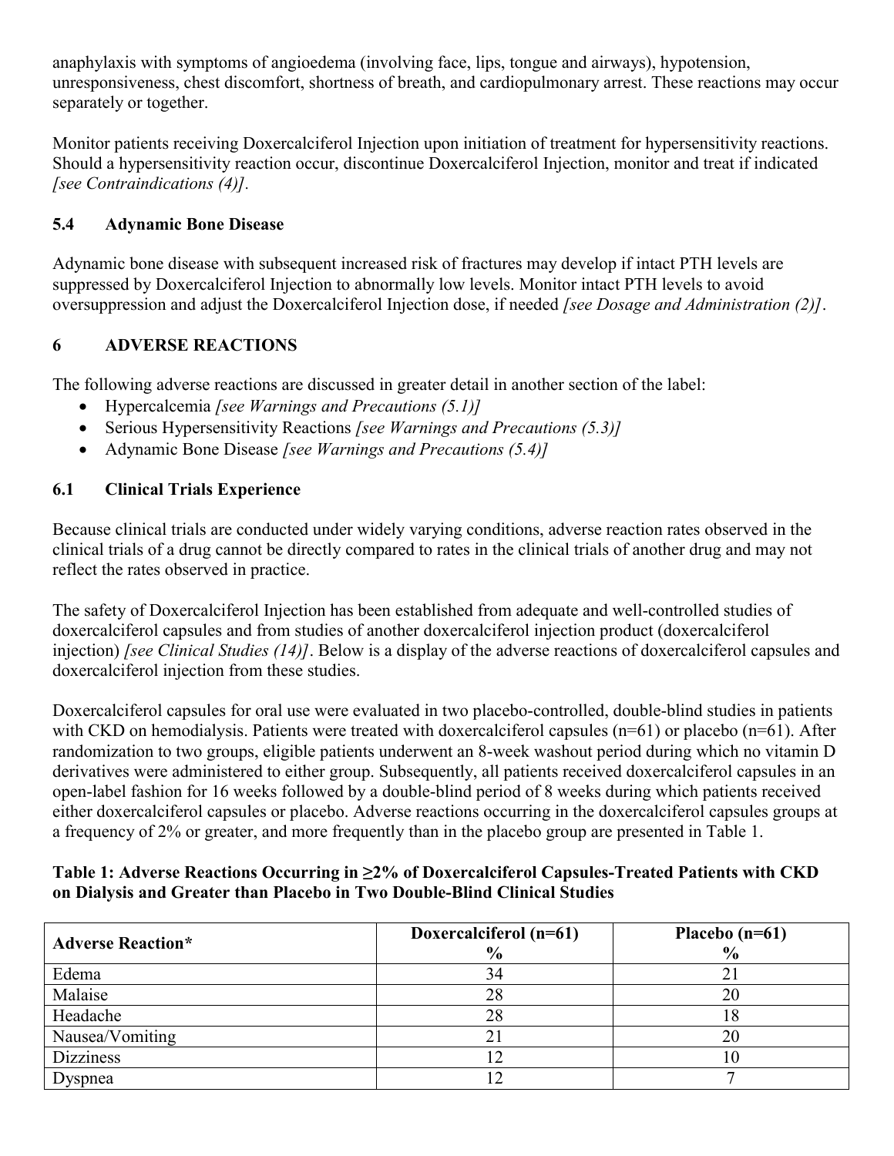anaphylaxis with symptoms of angioedema (involving face, lips, tongue and airways), hypotension, unresponsiveness, chest discomfort, shortness of breath, and cardiopulmonary arrest. These reactions may occur separately or together.

Monitor patients receiving Doxercalciferol Injection upon initiation of treatment for hypersensitivity reactions. Should a hypersensitivity reaction occur, discontinue Doxercalciferol Injection, monitor and treat if indicated *[see Contraindications (4)].*

### **5.4 Adynamic Bone Disease**

Adynamic bone disease with subsequent increased risk of fractures may develop if intact PTH levels are suppressed by Doxercalciferol Injection to abnormally low levels. Monitor intact PTH levels to avoid oversuppression and adjust the Doxercalciferol Injection dose, if needed *[see Dosage and Administration (2)]*.

### **6 ADVERSE REACTIONS**

The following adverse reactions are discussed in greater detail in another section of the label:

- Hypercalcemia *[see Warnings and Precautions (5.1)]*
- Serious Hypersensitivity Reactions *[see Warnings and Precautions (5.3)]*
- Adynamic Bone Disease *[see Warnings and Precautions (5.4)]*

### **6.1 Clinical Trials Experience**

Because clinical trials are conducted under widely varying conditions, adverse reaction rates observed in the clinical trials of a drug cannot be directly compared to rates in the clinical trials of another drug and may not reflect the rates observed in practice.

The safety of Doxercalciferol Injection has been established from adequate and well-controlled studies of doxercalciferol capsules and from studies of another doxercalciferol injection product (doxercalciferol injection) *[see Clinical Studies (14)]*. Below is a display of the adverse reactions of doxercalciferol capsules and doxercalciferol injection from these studies.

Doxercalciferol capsules for oral use were evaluated in two placebo-controlled, double-blind studies in patients with CKD on hemodialysis. Patients were treated with doxercalciferol capsules (n=61) or placebo (n=61). After randomization to two groups, eligible patients underwent an 8-week washout period during which no vitamin D derivatives were administered to either group. Subsequently, all patients received doxercalciferol capsules in an open-label fashion for 16 weeks followed by a double-blind period of 8 weeks during which patients received either doxercalciferol capsules or placebo. Adverse reactions occurring in the doxercalciferol capsules groups at a frequency of 2% or greater, and more frequently than in the placebo group are presented in Table 1.

#### **Table 1: Adverse Reactions Occurring in ≥2% of Doxercalciferol Capsules-Treated Patients with CKD on Dialysis and Greater than Placebo in Two Double-Blind Clinical Studies**

| <b>Adverse Reaction*</b> | Doxercalciferol (n=61)<br>$\frac{6}{9}$ | Placebo $(n=61)$<br>$\frac{6}{6}$ |
|--------------------------|-----------------------------------------|-----------------------------------|
| Edema                    | 34                                      |                                   |
| Malaise                  | 28                                      | 20                                |
| Headache                 | 28                                      | 18                                |
| Nausea/Vomiting          |                                         | 20                                |
| <b>Dizziness</b>         | $\overline{2}$                          | 10                                |
| Dyspnea                  |                                         |                                   |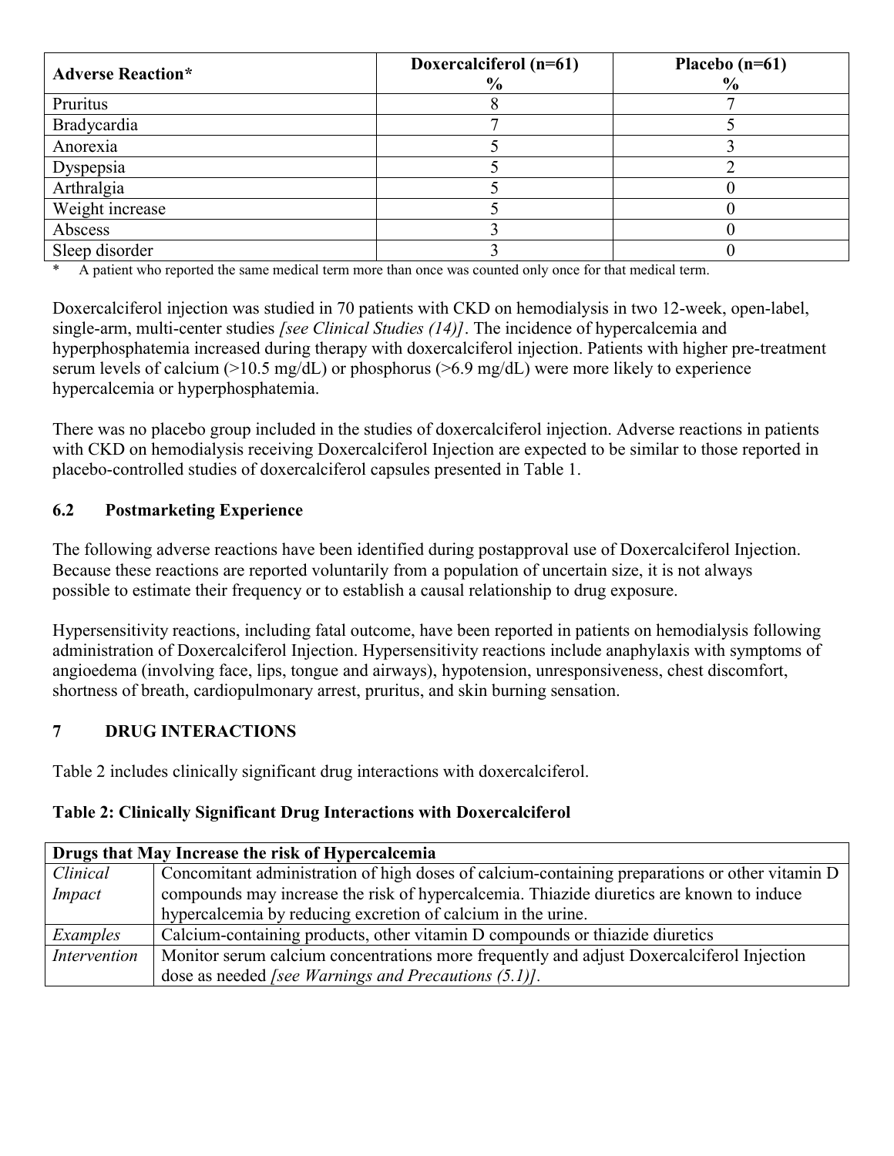| <b>Adverse Reaction*</b> | Doxercalciferol (n=61)<br>$\frac{6}{9}$ | Placebo $(n=61)$<br>$\frac{6}{9}$ |
|--------------------------|-----------------------------------------|-----------------------------------|
| Pruritus                 |                                         |                                   |
| Bradycardia              |                                         |                                   |
| Anorexia                 |                                         |                                   |
| Dyspepsia                |                                         |                                   |
| Arthralgia               |                                         |                                   |
| Weight increase          |                                         |                                   |
| Abscess                  |                                         |                                   |
| Sleep disorder           |                                         |                                   |

\* A patient who reported the same medical term more than once was counted only once for that medical term.

Doxercalciferol injection was studied in 70 patients with CKD on hemodialysis in two 12-week, open-label, single-arm, multi-center studies *[see Clinical Studies (14)]*. The incidence of hypercalcemia and hyperphosphatemia increased during therapy with doxercalciferol injection. Patients with higher pre-treatment serum levels of calcium (>10.5 mg/dL) or phosphorus (>6.9 mg/dL) were more likely to experience hypercalcemia or hyperphosphatemia.

There was no placebo group included in the studies of doxercalciferol injection. Adverse reactions in patients with CKD on hemodialysis receiving Doxercalciferol Injection are expected to be similar to those reported in placebo-controlled studies of doxercalciferol capsules presented in Table 1.

### **6.2 Postmarketing Experience**

The following adverse reactions have been identified during postapproval use of Doxercalciferol Injection. Because these reactions are reported voluntarily from a population of uncertain size, it is not always possible to estimate their frequency or to establish a causal relationship to drug exposure.

Hypersensitivity reactions, including fatal outcome, have been reported in patients on hemodialysis following administration of Doxercalciferol Injection. Hypersensitivity reactions include anaphylaxis with symptoms of angioedema (involving face, lips, tongue and airways), hypotension, unresponsiveness, chest discomfort, shortness of breath, cardiopulmonary arrest, pruritus, and skin burning sensation.

### **7 DRUG INTERACTIONS**

Table 2 includes clinically significant drug interactions with doxercalciferol.

#### **Table 2: Clinically Significant Drug Interactions with Doxercalciferol**

| Drugs that May Increase the risk of Hypercalcemia |                                                                                                |  |  |
|---------------------------------------------------|------------------------------------------------------------------------------------------------|--|--|
| Clinical                                          | Concomitant administration of high doses of calcium-containing preparations or other vitamin D |  |  |
| Impact                                            | compounds may increase the risk of hypercalcemia. Thiazide diuretics are known to induce       |  |  |
|                                                   | hypercalcemia by reducing excretion of calcium in the urine.                                   |  |  |
| Examples                                          | Calcium-containing products, other vitamin D compounds or thiazide diuretics                   |  |  |
| Intervention                                      | Monitor serum calcium concentrations more frequently and adjust Doxercalciferol Injection      |  |  |
|                                                   | dose as needed <i>[see Warnings and Precautions <math>(5.1)</math>]</i> .                      |  |  |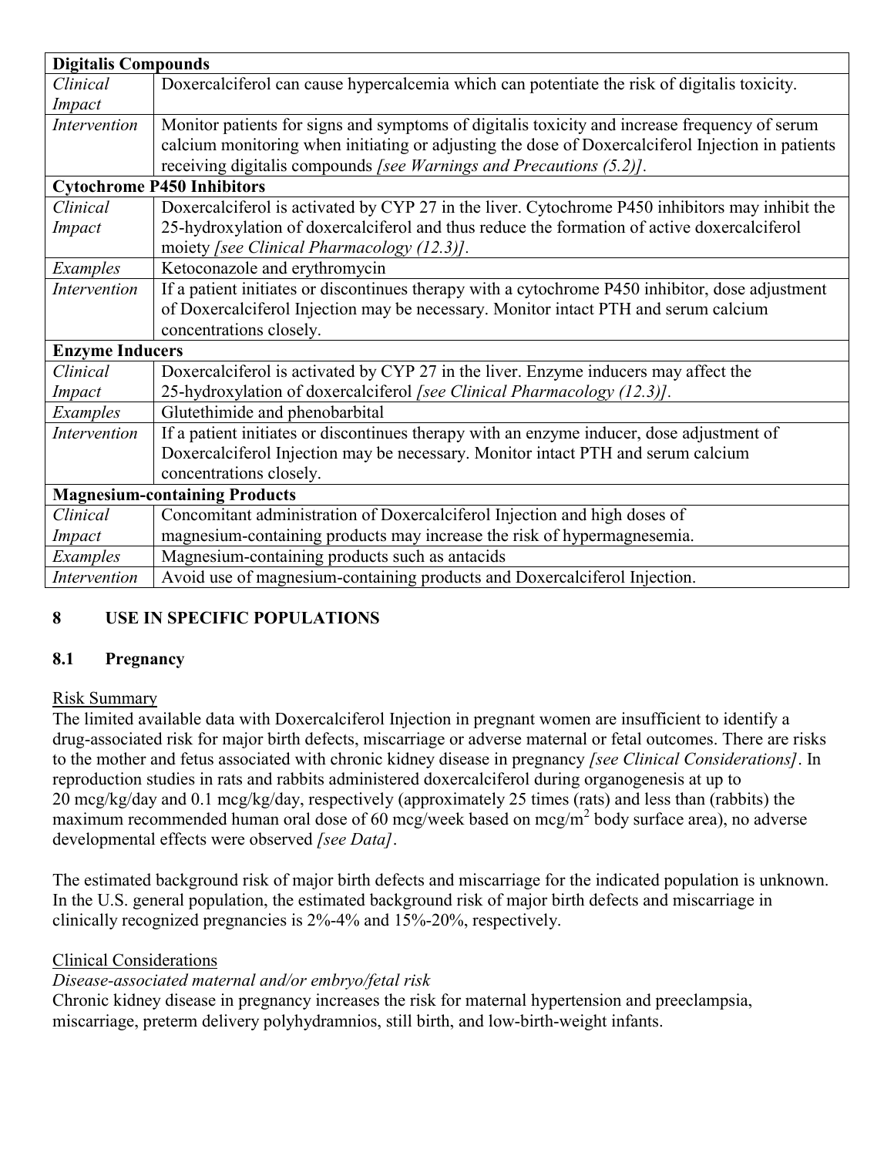| <b>Digitalis Compounds</b> |                                                                                                   |
|----------------------------|---------------------------------------------------------------------------------------------------|
| Clinical                   | Doxercalciferol can cause hypercalcemia which can potentiate the risk of digitalis toxicity.      |
| Impact                     |                                                                                                   |
| Intervention               | Monitor patients for signs and symptoms of digitalis toxicity and increase frequency of serum     |
|                            | calcium monitoring when initiating or adjusting the dose of Doxercalciferol Injection in patients |
|                            | receiving digitalis compounds [see Warnings and Precautions (5.2)].                               |
|                            | <b>Cytochrome P450 Inhibitors</b>                                                                 |
| Clinical                   | Doxercalciferol is activated by CYP 27 in the liver. Cytochrome P450 inhibitors may inhibit the   |
| Impact                     | 25-hydroxylation of doxercalciferol and thus reduce the formation of active doxercalciferol       |
|                            | moiety [see Clinical Pharmacology (12.3)].                                                        |
| Examples                   | Ketoconazole and erythromycin                                                                     |
| Intervention               | If a patient initiates or discontinues therapy with a cytochrome P450 inhibitor, dose adjustment  |
|                            | of Doxercalciferol Injection may be necessary. Monitor intact PTH and serum calcium               |
|                            | concentrations closely.                                                                           |
| <b>Enzyme Inducers</b>     |                                                                                                   |
| Clinical                   | Doxercalciferol is activated by CYP 27 in the liver. Enzyme inducers may affect the               |
| Impact                     | 25-hydroxylation of doxercalciferol [see Clinical Pharmacology (12.3)].                           |
| Examples                   | Glutethimide and phenobarbital                                                                    |
| Intervention               | If a patient initiates or discontinues therapy with an enzyme inducer, dose adjustment of         |
|                            | Doxercalciferol Injection may be necessary. Monitor intact PTH and serum calcium                  |
|                            | concentrations closely.                                                                           |
|                            | <b>Magnesium-containing Products</b>                                                              |
| Clinical                   | Concomitant administration of Doxercalciferol Injection and high doses of                         |
| Impact                     | magnesium-containing products may increase the risk of hypermagnesemia.                           |
| Examples                   | Magnesium-containing products such as antacids                                                    |
| Intervention               | Avoid use of magnesium-containing products and Doxercalciferol Injection.                         |

# **8 USE IN SPECIFIC POPULATIONS**

### **8.1 Pregnancy**

#### Risk Summary

The limited available data with Doxercalciferol Injection in pregnant women are insufficient to identify a drug-associated risk for major birth defects, miscarriage or adverse maternal or fetal outcomes. There are risks to the mother and fetus associated with chronic kidney disease in pregnancy *[see Clinical Considerations]*. In reproduction studies in rats and rabbits administered doxercalciferol during organogenesis at up to 20 mcg/kg/day and 0.1 mcg/kg/day, respectively (approximately 25 times (rats) and less than (rabbits) the maximum recommended human oral dose of 60 mcg/week based on mcg/m<sup>2</sup> body surface area), no adverse developmental effects were observed *[see Data]*.

The estimated background risk of major birth defects and miscarriage for the indicated population is unknown. In the U.S. general population, the estimated background risk of major birth defects and miscarriage in clinically recognized pregnancies is 2%-4% and 15%-20%, respectively.

#### Clinical Considerations

### *Disease-associated maternal and/or embryo/fetal risk*

Chronic kidney disease in pregnancy increases the risk for maternal hypertension and preeclampsia, miscarriage, preterm delivery polyhydramnios, still birth, and low-birth-weight infants.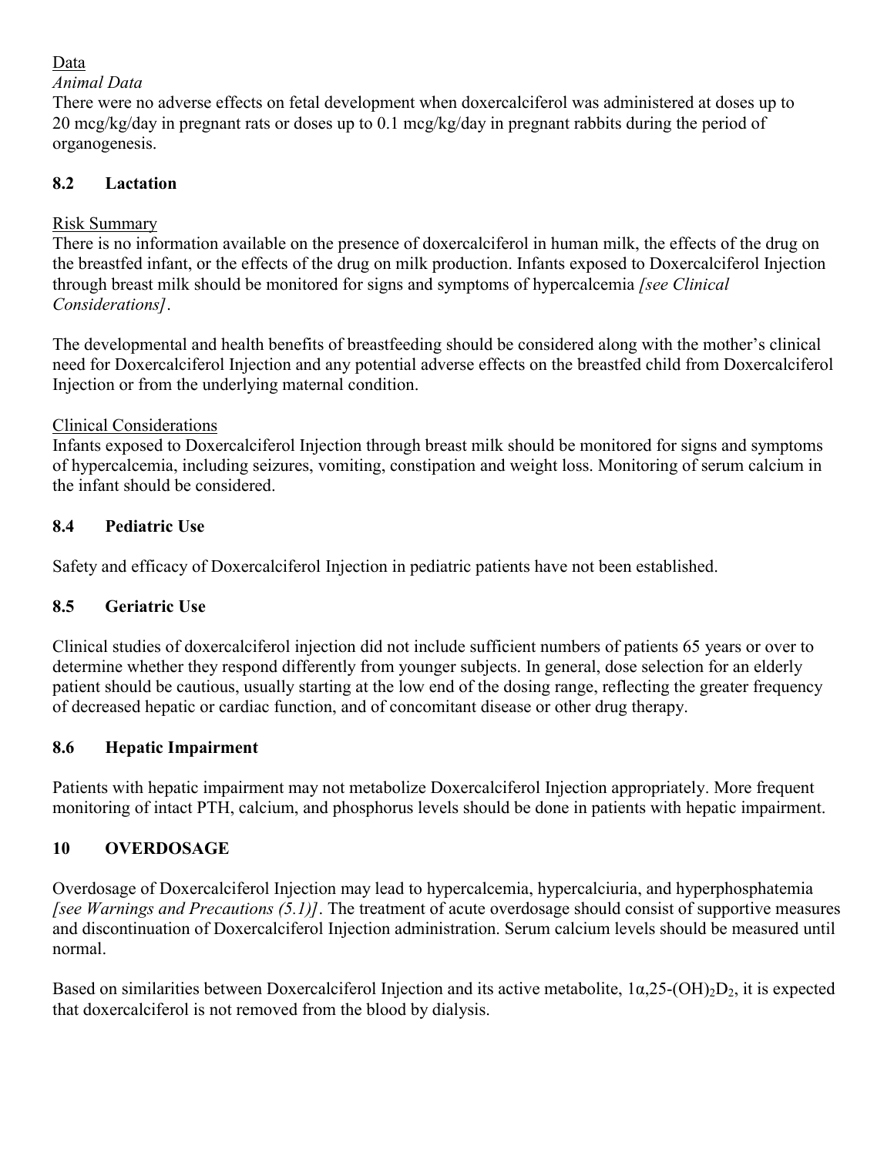### Data

### *Animal Data*

There were no adverse effects on fetal development when doxercalciferol was administered at doses up to 20 mcg/kg/day in pregnant rats or doses up to 0.1 mcg/kg/day in pregnant rabbits during the period of organogenesis.

## **8.2 Lactation**

# Risk Summary

There is no information available on the presence of doxercalciferol in human milk, the effects of the drug on the breastfed infant, or the effects of the drug on milk production. Infants exposed to Doxercalciferol Injection through breast milk should be monitored for signs and symptoms of hypercalcemia *[see Clinical Considerations]*.

The developmental and health benefits of breastfeeding should be considered along with the mother's clinical need for Doxercalciferol Injection and any potential adverse effects on the breastfed child from Doxercalciferol Injection or from the underlying maternal condition.

# Clinical Considerations

Infants exposed to Doxercalciferol Injection through breast milk should be monitored for signs and symptoms of hypercalcemia, including seizures, vomiting, constipation and weight loss. Monitoring of serum calcium in the infant should be considered.

# **8.4 Pediatric Use**

Safety and efficacy of Doxercalciferol Injection in pediatric patients have not been established.

# **8.5 Geriatric Use**

Clinical studies of doxercalciferol injection did not include sufficient numbers of patients 65 years or over to determine whether they respond differently from younger subjects. In general, dose selection for an elderly patient should be cautious, usually starting at the low end of the dosing range, reflecting the greater frequency of decreased hepatic or cardiac function, and of concomitant disease or other drug therapy.

# **8.6 Hepatic Impairment**

Patients with hepatic impairment may not metabolize Doxercalciferol Injection appropriately. More frequent monitoring of intact PTH, calcium, and phosphorus levels should be done in patients with hepatic impairment.

# **10 OVERDOSAGE**

Overdosage of Doxercalciferol Injection may lead to hypercalcemia, hypercalciuria, and hyperphosphatemia *[see Warnings and Precautions (5.1)]*. The treatment of acute overdosage should consist of supportive measures and discontinuation of Doxercalciferol Injection administration. Serum calcium levels should be measured until normal.

Based on similarities between Doxercalciferol Injection and its active metabolite,  $1\alpha, 25-(OH)_2D_2$ , it is expected that doxercalciferol is not removed from the blood by dialysis.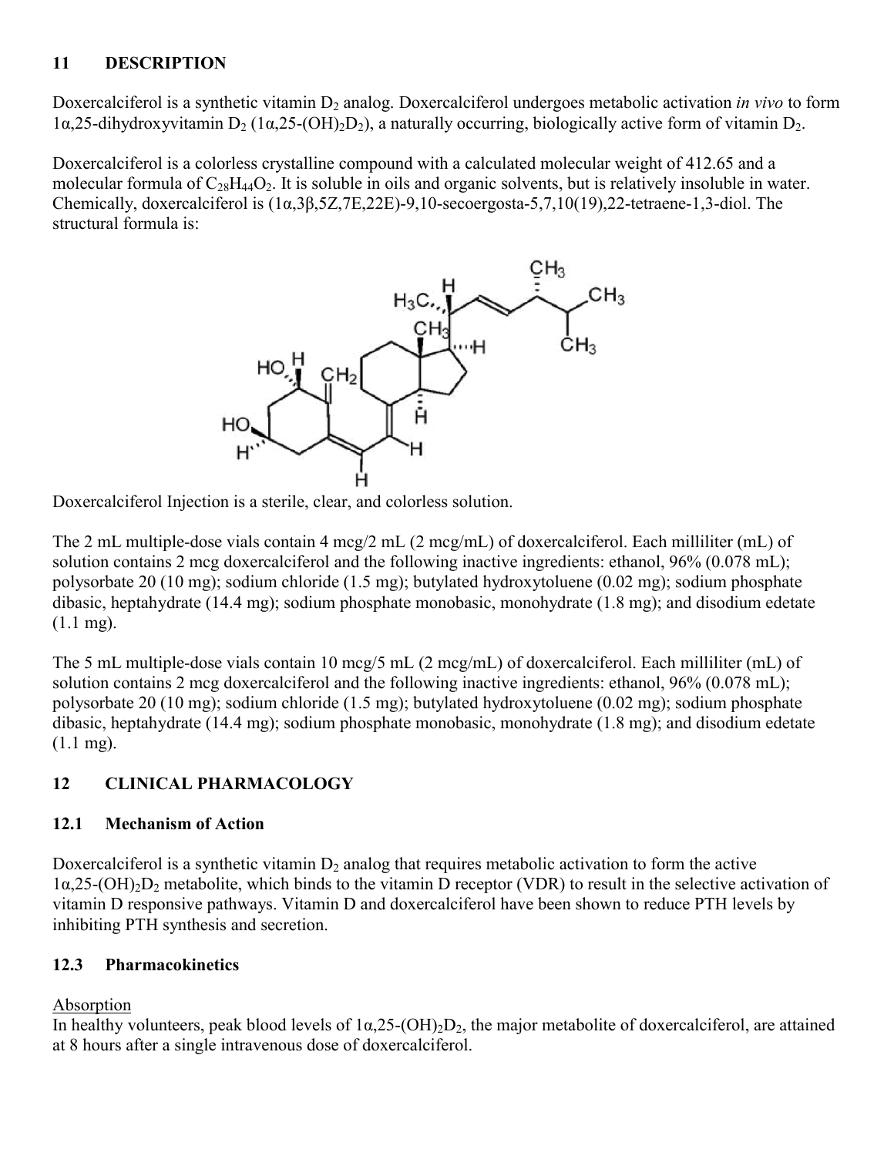### **11 DESCRIPTION**

Doxercalciferol is a synthetic vitamin D<sub>2</sub> analog. Doxercalciferol undergoes metabolic activation *in vivo* to form  $1\alpha$ ,25-dihydroxyvitamin D<sub>2</sub> ( $1\alpha$ ,25-(OH)<sub>2</sub>D<sub>2</sub>), a naturally occurring, biologically active form of vitamin D<sub>2</sub>.

Doxercalciferol is a colorless crystalline compound with a calculated molecular weight of 412.65 and a molecular formula of  $C_{28}H_{44}O_2$ . It is soluble in oils and organic solvents, but is relatively insoluble in water. Chemically, doxercalciferol is (1α,3β,5Z,7E,22E)-9,10-secoergosta-5,7,10(19),22-tetraene-1,3-diol. The structural formula is:



Doxercalciferol Injection is a sterile, clear, and colorless solution.

The 2 mL multiple-dose vials contain 4 mcg/2 mL (2 mcg/mL) of doxercalciferol. Each milliliter (mL) of solution contains 2 mcg doxercalciferol and the following inactive ingredients: ethanol, 96% (0.078 mL); polysorbate 20 (10 mg); sodium chloride (1.5 mg); butylated hydroxytoluene (0.02 mg); sodium phosphate dibasic, heptahydrate (14.4 mg); sodium phosphate monobasic, monohydrate (1.8 mg); and disodium edetate (1.1 mg).

The 5 mL multiple-dose vials contain 10 mcg/5 mL (2 mcg/mL) of doxercalciferol. Each milliliter (mL) of solution contains 2 mcg doxercalciferol and the following inactive ingredients: ethanol, 96% (0.078 mL); polysorbate 20 (10 mg); sodium chloride (1.5 mg); butylated hydroxytoluene (0.02 mg); sodium phosphate dibasic, heptahydrate (14.4 mg); sodium phosphate monobasic, monohydrate (1.8 mg); and disodium edetate (1.1 mg).

# **12 CLINICAL PHARMACOLOGY**

# **12.1 Mechanism of Action**

Doxercalciferol is a synthetic vitamin  $D_2$  analog that requires metabolic activation to form the active  $1\alpha,25-(OH)_2D_2$  metabolite, which binds to the vitamin D receptor (VDR) to result in the selective activation of vitamin D responsive pathways. Vitamin D and doxercalciferol have been shown to reduce PTH levels by inhibiting PTH synthesis and secretion.

# **12.3 Pharmacokinetics**

# Absorption

In healthy volunteers, peak blood levels of  $1\alpha, 25-(OH)_2D_2$ , the major metabolite of doxercalciferol, are attained at 8 hours after a single intravenous dose of doxercalciferol.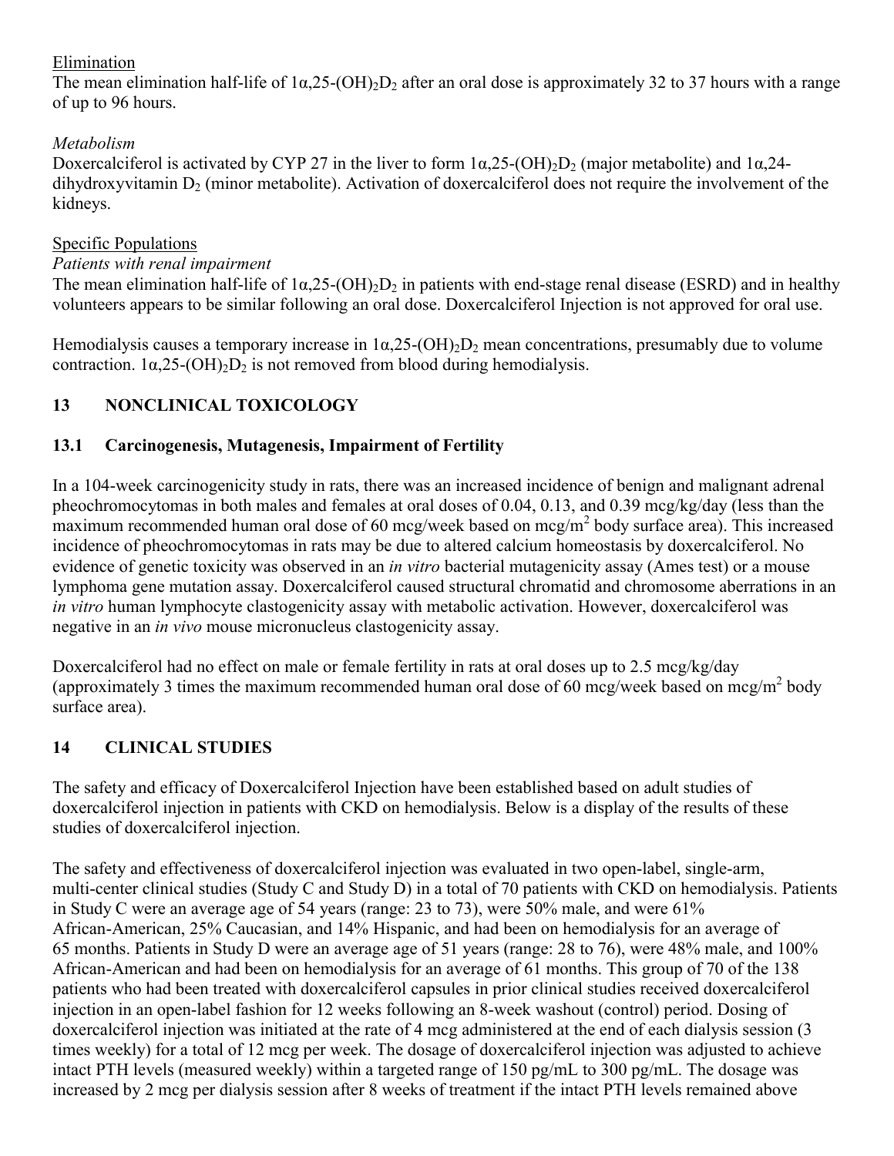#### Elimination

The mean elimination half-life of  $1\alpha$ ,25-(OH)<sub>2</sub>D<sub>2</sub> after an oral dose is approximately 32 to 37 hours with a range of up to 96 hours.

### *Metabolism*

Doxercalciferol is activated by CYP 27 in the liver to form  $1\alpha, 25-(OH)_{2}D_{2}$  (major metabolite) and  $1\alpha, 24$ dihydroxyvitamin  $D_2$  (minor metabolite). Activation of doxercalciferol does not require the involvement of the kidneys.

#### Specific Populations

#### *Patients with renal impairment*

The mean elimination half-life of  $1\alpha,25-(OH)_2D_2$  in patients with end-stage renal disease (ESRD) and in healthy volunteers appears to be similar following an oral dose. Doxercalciferol Injection is not approved for oral use.

Hemodialysis causes a temporary increase in  $1\alpha, 25-(OH)_2D_2$  mean concentrations, presumably due to volume contraction.  $1\alpha$ ,  $25-(OH)_{2}D_{2}$  is not removed from blood during hemodialysis.

# **13 NONCLINICAL TOXICOLOGY**

### **13.1 Carcinogenesis, Mutagenesis, Impairment of Fertility**

In a 104-week carcinogenicity study in rats, there was an increased incidence of benign and malignant adrenal pheochromocytomas in both males and females at oral doses of 0.04, 0.13, and 0.39 mcg/kg/day (less than the  $\frac{1}{2}$  maximum recommended human oral dose of 60 mcg/week based on mcg/m<sup>2</sup> body surface area). This increased incidence of pheochromocytomas in rats may be due to altered calcium homeostasis by doxercalciferol. No evidence of genetic toxicity was observed in an *in vitro* bacterial mutagenicity assay (Ames test) or a mouse lymphoma gene mutation assay. Doxercalciferol caused structural chromatid and chromosome aberrations in an *in vitro* human lymphocyte clastogenicity assay with metabolic activation. However, doxercalciferol was negative in an *in vivo* mouse micronucleus clastogenicity assay.

Doxercalciferol had no effect on male or female fertility in rats at oral doses up to 2.5 mcg/kg/day (approximately 3 times the maximum recommended human oral dose of 60 mcg/week based on mcg/m<sup>2</sup> body surface area).

### **14 CLINICAL STUDIES**

The safety and efficacy of Doxercalciferol Injection have been established based on adult studies of doxercalciferol injection in patients with CKD on hemodialysis. Below is a display of the results of these studies of doxercalciferol injection.

The safety and effectiveness of doxercalciferol injection was evaluated in two open-label, single-arm, multi-center clinical studies (Study C and Study D) in a total of 70 patients with CKD on hemodialysis. Patients in Study C were an average age of 54 years (range: 23 to 73), were 50% male, and were 61% African-American, 25% Caucasian, and 14% Hispanic, and had been on hemodialysis for an average of 65 months. Patients in Study D were an average age of 51 years (range: 28 to 76), were 48% male, and 100% African-American and had been on hemodialysis for an average of 61 months. This group of 70 of the 138 patients who had been treated with doxercalciferol capsules in prior clinical studies received doxercalciferol injection in an open-label fashion for 12 weeks following an 8-week washout (control) period. Dosing of doxercalciferol injection was initiated at the rate of 4 mcg administered at the end of each dialysis session (3 times weekly) for a total of 12 mcg per week. The dosage of doxercalciferol injection was adjusted to achieve intact PTH levels (measured weekly) within a targeted range of 150 pg/mL to 300 pg/mL. The dosage was increased by 2 mcg per dialysis session after 8 weeks of treatment if the intact PTH levels remained above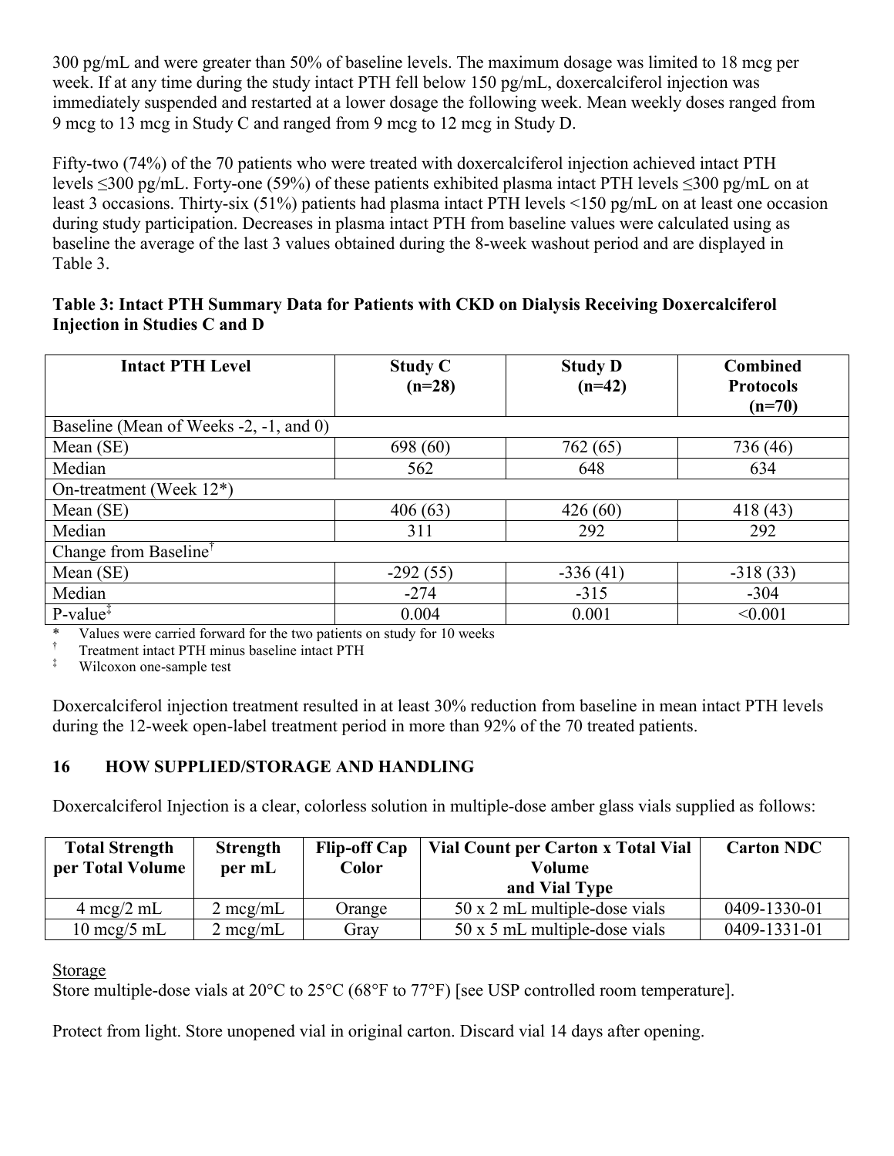300 pg/mL and were greater than 50% of baseline levels. The maximum dosage was limited to 18 mcg per week. If at any time during the study intact PTH fell below 150 pg/mL, doxercalciferol injection was immediately suspended and restarted at a lower dosage the following week. Mean weekly doses ranged from 9 mcg to 13 mcg in Study C and ranged from 9 mcg to 12 mcg in Study D.

Fifty-two (74%) of the 70 patients who were treated with doxercalciferol injection achieved intact PTH levels ≤300 pg/mL. Forty-one (59%) of these patients exhibited plasma intact PTH levels ≤300 pg/mL on at least 3 occasions. Thirty-six (51%) patients had plasma intact PTH levels <150 pg/mL on at least one occasion during study participation. Decreases in plasma intact PTH from baseline values were calculated using as baseline the average of the last 3 values obtained during the 8-week washout period and are displayed in Table 3.

#### **Table 3: Intact PTH Summary Data for Patients with CKD on Dialysis Receiving Doxercalciferol Injection in Studies C and D**

| <b>Intact PTH Level</b>                | <b>Study C</b><br>$(n=28)$ | <b>Study D</b><br>$(n=42)$ | <b>Combined</b><br><b>Protocols</b><br>$(n=70)$ |  |  |
|----------------------------------------|----------------------------|----------------------------|-------------------------------------------------|--|--|
| Baseline (Mean of Weeks -2, -1, and 0) |                            |                            |                                                 |  |  |
| Mean (SE)                              | 698 (60)                   | 762(65)                    | 736 (46)                                        |  |  |
| Median                                 | 562                        | 648                        | 634                                             |  |  |
| On-treatment (Week $12^*$ )            |                            |                            |                                                 |  |  |
| Mean (SE)                              | 406(63)                    | 426(60)                    | 418(43)                                         |  |  |
| Median                                 | 311                        | 292                        | 292                                             |  |  |
| Change from Baseline <sup>†</sup>      |                            |                            |                                                 |  |  |
| Mean (SE)                              | $-292(55)$                 | $-336(41)$                 | $-318(33)$                                      |  |  |
| Median                                 | $-274$                     | $-315$                     | $-304$                                          |  |  |
| $P-value^T$<br>$\cdot$ $\cdot$ $\cdot$ | 0.004                      | 0.001                      | < 0.001                                         |  |  |

\* Values were carried forward for the two patients on study for 10 weeks<br> $\frac{1}{1}$  Treatment intact PTH minus baseline intact PTH

 $\frac{1}{1}$  Treatment intact PTH minus baseline intact PTH Wilcox on one-sample test

Wilcoxon one-sample test

Doxercalciferol injection treatment resulted in at least 30% reduction from baseline in mean intact PTH levels during the 12-week open-label treatment period in more than 92% of the 70 treated patients.

#### **16 HOW SUPPLIED/STORAGE AND HANDLING**

Doxercalciferol Injection is a clear, colorless solution in multiple-dose amber glass vials supplied as follows:

| <b>Total Strength</b><br>per Total Volume | <b>Strength</b><br>per mL | <b>Flip-off Cap</b><br>Color | Vial Count per Carton x Total Vial<br>Volume | <b>Carton NDC</b> |
|-------------------------------------------|---------------------------|------------------------------|----------------------------------------------|-------------------|
|                                           |                           |                              | and Vial Type                                |                   |
| $4 \text{~mcg}/2 \text{~mL}$              | $2 \text{ mcg/mL}$        | Orange                       | $50 \times 2$ mL multiple-dose vials         | 0409-1330-01      |
| $10 \text{~mcg}/5 \text{~mL}$             | $2 \text{ mcg/mL}$        | Gray                         | 50 x 5 mL multiple-dose vials                | 0409-1331-01      |

Storage

Store multiple-dose vials at 20°C to 25°C (68°F to 77°F) [see USP controlled room temperature].

Protect from light. Store unopened vial in original carton. Discard vial 14 days after opening.